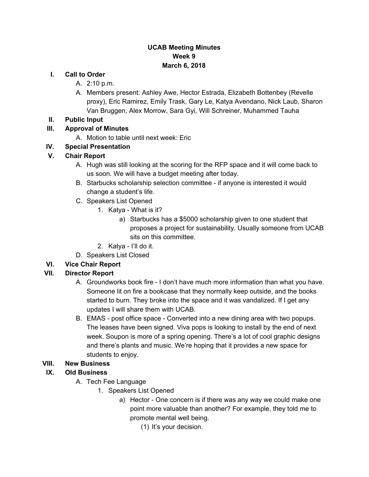#### **UCAB Meeting Minutes Week 9 March 6, 2018**

#### **I. Call to Order**

- A. 2:10 p.m.
- A. Members present: Ashley Awe, Hector Estrada, Elizabeth Bottenbey (Revelle proxy), Eric Ramirez, Emily Trask, Gary Le, Katya Avendano, Nick Laub, Sharon Van Bruggen, Alex Morrow, Sara Gyi, Will Schreiner, Muhammed Tauha

### **II. Public Input**

## **III. Approval of Minutes**

A. Motion to table until next week: Eric

# **IV. Special Presentation**

## **V. Chair Report**

- A. Hugh was still looking at the scoring for the RFP space and it will come back to us soon. We will have a budget meeting after today.
- B. Starbucks scholarship selection committee if anyone is interested it would change a student's life.
- C. Speakers List Opened
	- 1. Katya What is it?
		- a) Starbucks has a \$5000 scholarship given to one student that proposes a project for sustainability. Usually someone from UCAB sits on this committee.
	- 2. Katya I'll do it.
- D. Speakers List Closed

# **VI. Vice Chair Report**

# **VII. Director Report**

- A. Groundworks book fire I don't have much more information than what you have. Someone lit on fire a bookcase that they normally keep outside, and the books started to burn. They broke into the space and it was vandalized. If I get any updates I will share them with UCAB.
- B. EMAS post office space Converted into a new dining area with two popups. The leases have been signed. Viva pops is looking to install by the end of next week. Soupon is more of a spring opening. There's a lot of cool graphic designs and there's plants and music. We're hoping that it provides a new space for students to enjoy.

# **VIII. New Business**

# **IX. Old Business**

- A. Tech Fee Language
	- 1. Speakers List Opened
		- a) Hector One concern is if there was any way we could make one point more valuable than another? For example, they told me to promote mental well being.

(1) It's your decision.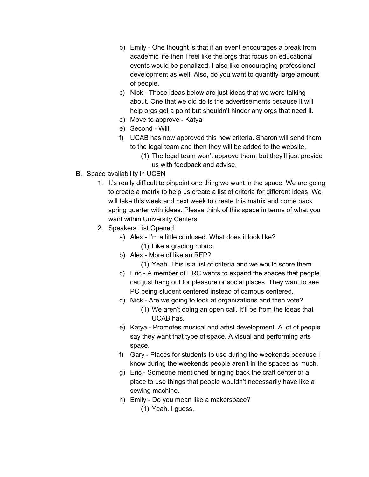- b) Emily One thought is that if an event encourages a break from academic life then I feel like the orgs that focus on educational events would be penalized. I also like encouraging professional development as well. Also, do you want to quantify large amount of people.
- c) Nick Those ideas below are just ideas that we were talking about. One that we did do is the advertisements because it will help orgs get a point but shouldn't hinder any orgs that need it.
- d) Move to approve Katya
- e) Second Will
- f) UCAB has now approved this new criteria. Sharon will send them to the legal team and then they will be added to the website.
	- (1) The legal team won't approve them, but they'll just provide us with feedback and advise.
- B. Space availability in UCEN
	- 1. It's really difficult to pinpoint one thing we want in the space. We are going to create a matrix to help us create a list of criteria for different ideas. We will take this week and next week to create this matrix and come back spring quarter with ideas. Please think of this space in terms of what you want within University Centers.
	- 2. Speakers List Opened
		- a) Alex I'm a little confused. What does it look like? (1) Like a grading rubric.
		- b) Alex More of like an RFP?
			- (1) Yeah. This is a list of criteria and we would score them.
		- c) Eric A member of ERC wants to expand the spaces that people can just hang out for pleasure or social places. They want to see PC being student centered instead of campus centered.
		- d) Nick Are we going to look at organizations and then vote?
			- (1) We aren't doing an open call. It'll be from the ideas that UCAB has.
		- e) Katya Promotes musical and artist development. A lot of people say they want that type of space. A visual and performing arts space.
		- f) Gary Places for students to use during the weekends because I know during the weekends people aren't in the spaces as much.
		- g) Eric Someone mentioned bringing back the craft center or a place to use things that people wouldn't necessarily have like a sewing machine.
		- h) Emily Do you mean like a makerspace?
			- (1) Yeah, I guess.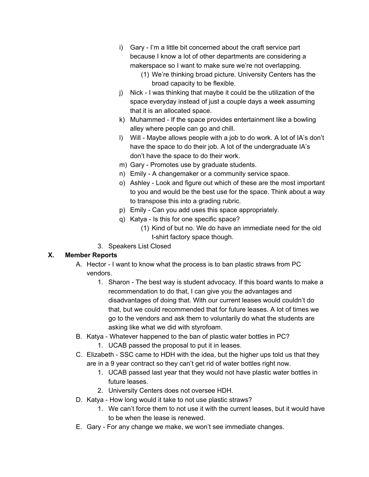- i) Gary I'm a little bit concerned about the craft service part because I know a lot of other departments are considering a makerspace so I want to make sure we're not overlapping.
	- (1) We're thinking broad picture. University Centers has the broad capacity to be flexible.
- j) Nick I was thinking that maybe it could be the utilization of the space everyday instead of just a couple days a week assuming that it is an allocated space.
- k) Muhammed If the space provides entertainment like a bowling alley where people can go and chill.
- l) Will Maybe allows people with a job to do work. A lot of IA's don't have the space to do their job. A lot of the undergraduate IA's don't have the space to do their work.
- m) Gary Promotes use by graduate students.
- n) Emily A changemaker or a community service space.
- o) Ashley Look and figure out which of these are the most important to you and would be the best use for the space. Think about a way to transpose this into a grading rubric.
- p) Emily Can you add uses this space appropriately.
- q) Katya Is this for one specific space?
	- (1) Kind of but no. We do have an immediate need for the old t-shirt factory space though.
- 3. Speakers List Closed

### **X. Member Reports**

- A. Hector I want to know what the process is to ban plastic straws from PC vendors.
	- 1. Sharon The best way is student advocacy. If this board wants to make a recommendation to do that, I can give you the advantages and disadvantages of doing that. With our current leases would couldn't do that, but we could recommended that for future leases. A lot of times we go to the vendors and ask them to voluntarily do what the students are asking like what we did with styrofoam.
- B. Katya Whatever happened to the ban of plastic water bottles in PC?
	- 1. UCAB passed the proposal to put it in leases.
- C. Elizabeth SSC came to HDH with the idea, but the higher ups told us that they are in a 9 year contract so they can't get rid of water bottles right now.
	- 1. UCAB passed last year that they would not have plastic water bottles in future leases.
	- 2. University Centers does not oversee HDH.
- D. Katya How long would it take to not use plastic straws?
	- 1. We can't force them to not use it with the current leases, but it would have to be when the lease is renewed.
- E. Gary For any change we make, we won't see immediate changes.